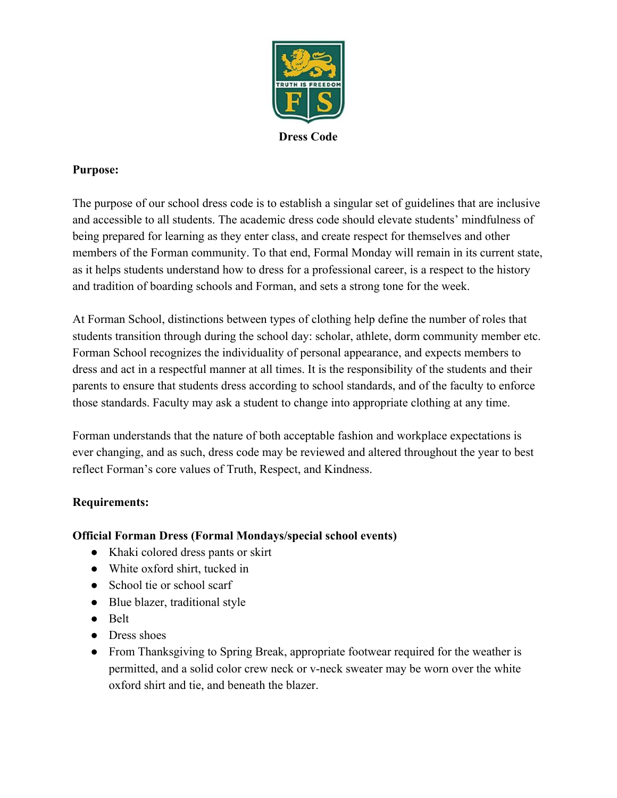

**Dress Code**

## **Purpose:**

The purpose of our school dress code is to establish a singular set of guidelines that are inclusive and accessible to all students. The academic dress code should elevate students' mindfulness of being prepared for learning as they enter class, and create respect for themselves and other members of the Forman community. To that end, Formal Monday will remain in its current state, as it helps students understand how to dress for a professional career, is a respect to the history and tradition of boarding schools and Forman, and sets a strong tone for the week.

At Forman School, distinctions between types of clothing help define the number of roles that students transition through during the school day: scholar, athlete, dorm community member etc. Forman School recognizes the individuality of personal appearance, and expects members to dress and act in a respectful manner at all times. It is the responsibility of the students and their parents to ensure that students dress according to school standards, and of the faculty to enforce those standards. Faculty may ask a student to change into appropriate clothing at any time.

Forman understands that the nature of both acceptable fashion and workplace expectations is ever changing, and as such, dress code may be reviewed and altered throughout the year to best reflect Forman's core values of Truth, Respect, and Kindness.

## **Requirements:**

## **Official Forman Dress (Formal Mondays/special school events)**

- Khaki colored dress pants or skirt
- White oxford shirt, tucked in
- School tie or school scarf
- Blue blazer, traditional style
- Belt
- Dress shoes
- From Thanksgiving to Spring Break, appropriate footwear required for the weather is permitted, and a solid color crew neck or v-neck sweater may be worn over the white oxford shirt and tie, and beneath the blazer.